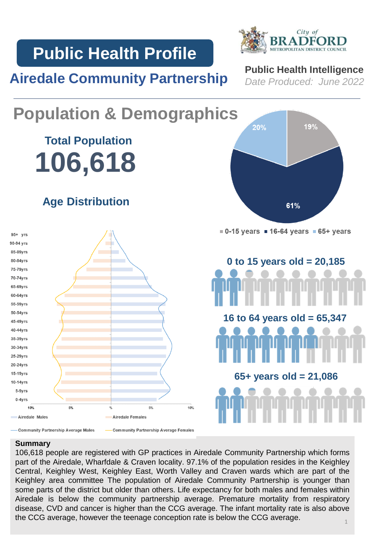**Public Health Profile**



# **Airedale Community Partnership** Public Health Intelligence

*Date Produced: June 2022*



#### **Summary**

106,618 people are registered with GP practices in Airedale Community Partnership which forms part of the Airedale, Wharfdale & Craven locality. 97.1% of the population resides in the Keighley Central, Keighley West, Keighley East, Worth Valley and Craven wards which are part of the Keighley area committee The population of Airedale Community Partnership is younger than some parts of the district but older than others. Life expectancy for both males and females within Airedale is below the community partnership average. Premature mortality from respiratory disease, CVD and cancer is higher than the CCG average. The infant mortality rate is also above the CCG average, however the teenage conception rate is below the CCG average. 1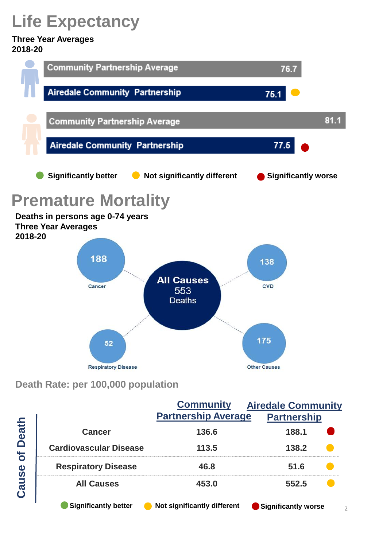# **Life Expectancy**

### **Three Year Averages 2018-20**



**Death Rate: per 100,000 population**

| eath<br>$\Box$<br>ð<br><b>ISe</b><br>ue |                               | <b>Community</b><br><b>Partnership Average</b> | <b>Airedale Community</b><br><b>Partnership</b> |
|-----------------------------------------|-------------------------------|------------------------------------------------|-------------------------------------------------|
|                                         | <b>Cancer</b>                 | 136.6                                          | 188.1                                           |
|                                         | <b>Cardiovascular Disease</b> | 113.5                                          | 138.2                                           |
|                                         | <b>Respiratory Disease</b>    | 46.8                                           | 51.6                                            |
|                                         | <b>All Causes</b>             | 453.0                                          | 552.5                                           |

**C** Significantly better **C** Not significantly different **C** Significantly worse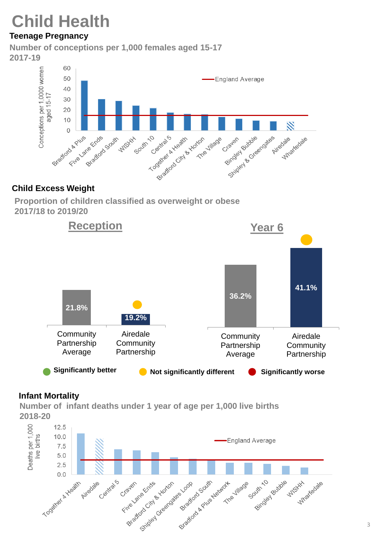# **Child Health**

## **Teenage Pregnancy**

**Number of conceptions per 1,000 females aged 15-17 2017-19**



### **Child Excess Weight**

**Proportion of children classified as overweight or obese 2017/18 to 2019/20**



### **Infant Mortality**

**Number of infant deaths under 1 year of age per 1,000 live births 2018-20**